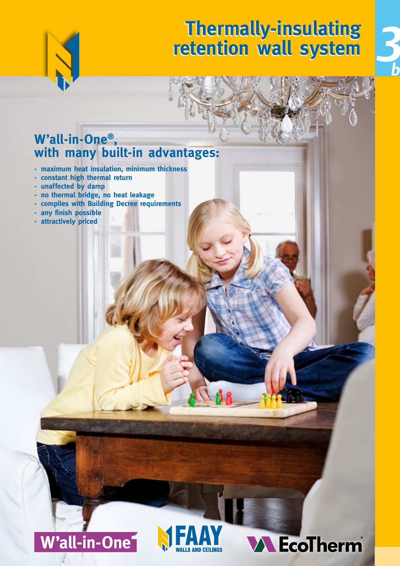

## **Thermally-insulating retention wall system**



### **W'all-in-One® , with many built-in advantages:**

- **- maximum heat insulation, minimum thickness**
- **- constant high thermal return**
- **- unaffected by damp**
- **- no thermal bridge, no heat leakage**
- **- complies with Building Decree requirements**
- **- any finish possible**
- **- attractively priced**





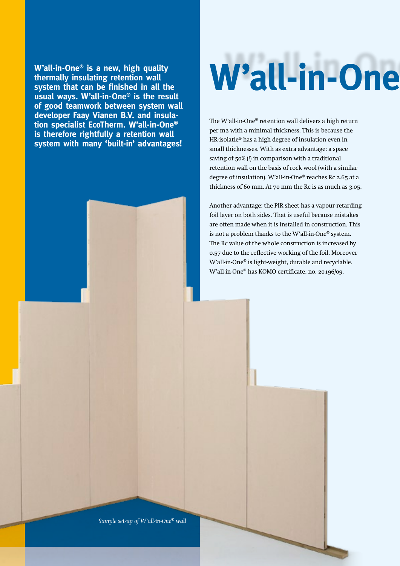**W'all-in-One® is a new, high quality thermally insulating retention wall system that can be finished in all the usual ways. W'all-in-One® is the result of good teamwork between system wall developer Faay Vianen B.V. and insulation specialist EcoTherm. W'all-in-One® is therefore rightfully a retention wall system with many 'built-in' advantages!**

# W'all-in-One

The W'all-in-One® retention wall delivers a high return per m2 with a minimal thickness. This is because the HR-isolatie® has a high degree of insulation even in small thicknesses. With as extra advantage: a space saving of 50% (!) in comparison with a traditional retention wall on the basis of rock wool (with a similar degree of insulation). W'all-in-One® reaches Rc 2.65 at a thickness of 60 mm. At 70 mm the Rc is as much as 3.05.

Another advantage: the PIR sheet has a vapour-retarding foil layer on both sides. That is useful because mistakes are often made when it is installed in construction. This is not a problem thanks to the W'all-in-One® system. The Rc value of the whole construction is increased by 0.57 due to the reflective working of the foil. Moreover W'all-in-One® is light-weight, durable and recyclable. W'all-in-One® has KOMO certificate, no. 20196/09.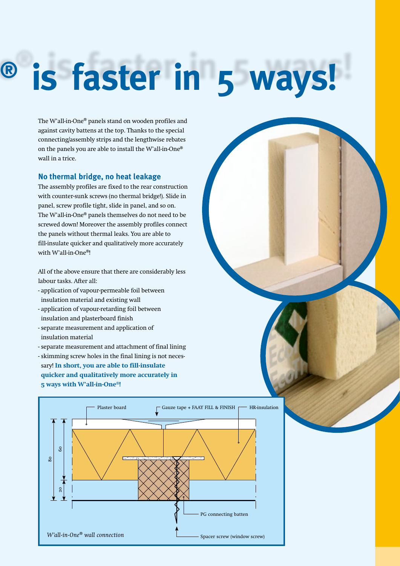## $\textsuperscript{®}$  is faster in 5 ways!

The W'all-in-One® panels stand on wooden profiles and against cavity battens at the top. Thanks to the special connecting/assembly strips and the lengthwise rebates on the panels you are able to install the W'all-in-One® wall in a trice.

#### **No thermal bridge, no heat leakage**

The assembly profiles are fixed to the rear construction with counter-sunk screws (no thermal bridge!). Slide in panel, screw profile tight, slide in panel, and so on. The W'all-in-One® panels themselves do not need to be screwed down! Moreover the assembly profiles connect the panels without thermal leaks. You are able to fill-insulate quicker and qualitatively more accurately with W'all-in-One®!

All of the above ensure that there are considerably less labour tasks. After all:

- application of vapour-permeable foil between insulation material and existing wall
- application of vapour-retarding foil between insulation and plasterboard finish
- separate measurement and application of insulation material
- separate measurement and attachment of final lining
- skimming screw holes in the final lining is not necessary! **In short, you are able to fill-insulate quicker and qualitatively more accurately in 5 ways with W'all-in-One®!**